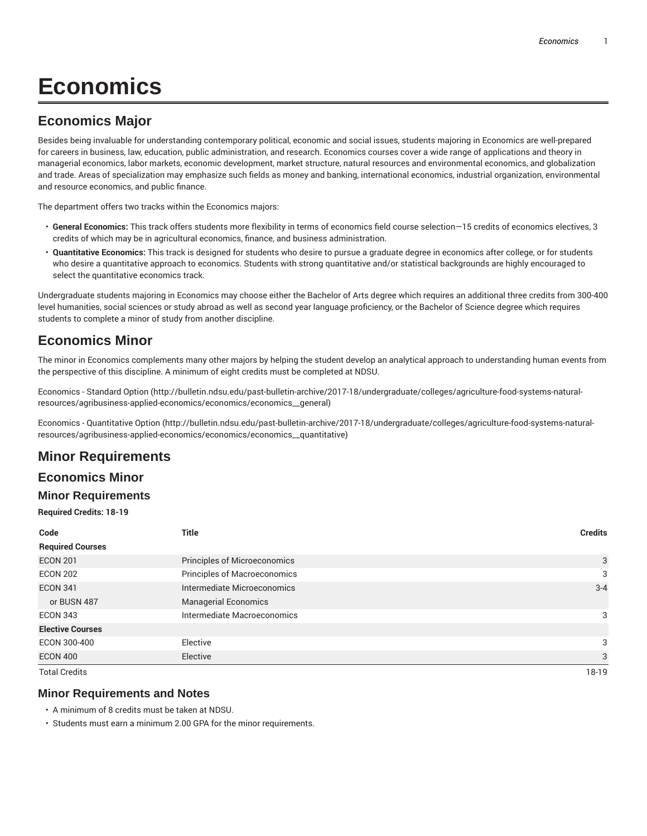# **Economics**

## **Economics Major**

Besides being invaluable for understanding contemporary political, economic and social issues, students majoring in Economics are well-prepared for careers in business, law, education, public administration, and research. Economics courses cover a wide range of applications and theory in managerial economics, labor markets, economic development, market structure, natural resources and environmental economics, and globalization and trade. Areas of specialization may emphasize such fields as money and banking, international economics, industrial organization, environmental and resource economics, and public finance.

The department offers two tracks within the Economics majors:

- **General Economics:** This track offers students more flexibility in terms of economics field course selection—15 credits of economics electives, 3 credits of which may be in agricultural economics, finance, and business administration.
- **Quantitative Economics:** This track is designed for students who desire to pursue a graduate degree in economics after college, or for students who desire a quantitative approach to economics. Students with strong quantitative and/or statistical backgrounds are highly encouraged to select the quantitative economics track.

Undergraduate students majoring in Economics may choose either the Bachelor of Arts degree which requires an additional three credits from 300-400 level humanities, social sciences or study abroad as well as second year language proficiency, or the Bachelor of Science degree which requires students to complete a minor of study from another discipline.

## **Economics Minor**

The minor in Economics complements many other majors by helping the student develop an analytical approach to understanding human events from the perspective of this discipline. A minimum of eight credits must be completed at NDSU.

Economics - Standard Option (http://bulletin.ndsu.edu/past-bulletin-archive/2017-18/undergraduate/colleges/agriculture-food-systems-naturalresources/agribusiness-applied-economics/economics/economics\_\_general)

Economics - Quantitative Option (http://bulletin.ndsu.edu/past-bulletin-archive/2017-18/undergraduate/colleges/agriculture-food-systems-naturalresources/agribusiness-applied-economics/economics/economics\_\_quantitative)

## **Minor Requirements**

#### **Economics Minor**

#### **Minor Requirements**

**Required Credits: 18-19**

| Code                    | <b>Title</b>                        | <b>Credits</b> |
|-------------------------|-------------------------------------|----------------|
| <b>Required Courses</b> |                                     |                |
| <b>ECON 201</b>         | <b>Principles of Microeconomics</b> | 3              |
| <b>ECON 202</b>         | Principles of Macroeconomics        | 3              |
| <b>ECON 341</b>         | Intermediate Microeconomics         | $3 - 4$        |
| or BUSN 487             | <b>Managerial Economics</b>         |                |
| <b>ECON 343</b>         | Intermediate Macroeconomics         | 3              |
| <b>Elective Courses</b> |                                     |                |
| ECON 300-400            | Elective                            | 3              |
| <b>ECON 400</b>         | Elective                            | 3              |
| <b>Total Credits</b>    |                                     | 18-19          |

#### **Minor Requirements and Notes**

• A minimum of 8 credits must be taken at NDSU.

• Students must earn a minimum 2.00 GPA for the minor requirements.